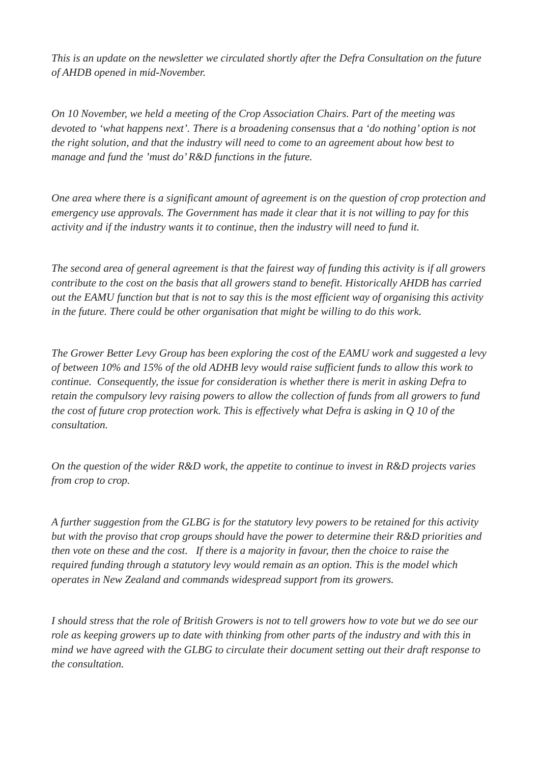*This is an update on the newsletter we circulated shortly after the Defra Consultation on the future of AHDB opened in mid-November.*

*On 10 November, we held a meeting of the Crop Association Chairs. Part of the meeting was devoted to 'what happens next'. There is a broadening consensus that a 'do nothing' option is not the right solution, and that the industry will need to come to an agreement about how best to manage and fund the 'must do' R&D functions in the future.*

*One area where there is a significant amount of agreement is on the question of crop protection and emergency use approvals. The Government has made it clear that it is not willing to pay for this activity and if the industry wants it to continue, then the industry will need to fund it.*

*The second area of general agreement is that the fairest way of funding this activity is if all growers contribute to the cost on the basis that all growers stand to benefit. Historically AHDB has carried out the EAMU function but that is not to say this is the most efficient way of organising this activity in the future. There could be other organisation that might be willing to do this work.*

*The Grower Better Levy Group has been exploring the cost of the EAMU work and suggested a levy of between 10% and 15% of the old ADHB levy would raise sufficient funds to allow this work to continue. Consequently, the issue for consideration is whether there is merit in asking Defra to retain the compulsory levy raising powers to allow the collection of funds from all growers to fund the cost of future crop protection work. This is effectively what Defra is asking in Q 10 of the consultation.*

*On the question of the wider R&D work, the appetite to continue to invest in R&D projects varies from crop to crop.*

*A further suggestion from the GLBG is for the statutory levy powers to be retained for this activity but with the proviso that crop groups should have the power to determine their R&D priorities and then vote on these and the cost. If there is a majority in favour, then the choice to raise the required funding through a statutory levy would remain as an option. This is the model which operates in New Zealand and commands widespread support from its growers.*

*I should stress that the role of British Growers is not to tell growers how to vote but we do see our role as keeping growers up to date with thinking from other parts of the industry and with this in mind we have agreed with the GLBG to circulate their document setting out their draft response to the consultation.*